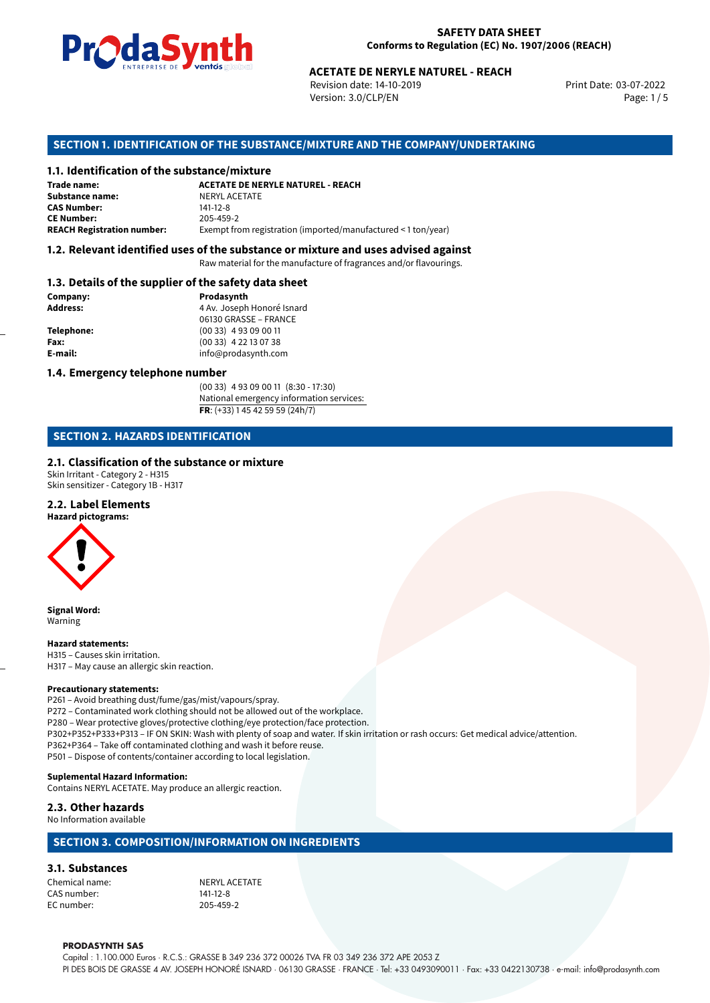

#### **SAFETY DATA SHEET Conforms to Regulation (EC) No. 1907/2006 (REACH)**

Revision date: 14-10-2019 Version: 3.0/CLP/EN Page: 1/5

Print Date: 03-07-2022

# **ACETATE DE NERYLE NATUREL - REACH<br>
Revision date: 14-10-2019<br>
Version: 3.0/CLP/EN<br>
<b>OF THE SUBSTANCE/MIXTURE AND THE COMPANY/UNDERTAI**<br> **ACETATE DE NERYLE NATUREL - REACH<br>
ACETATE DE NERYLE NATUREL - REACH SECTION 1. IDENTIFICATION OF THE SUBSTANCE/MIXTURE AND THE COMPANY/UNDERTAKING**

#### **1.1. Identification of the substance/mixture**

| Trade name:                       | <b>ACETATE DE NERYLE NATUREL - REACH</b>                      |
|-----------------------------------|---------------------------------------------------------------|
| <b>Substance name:</b>            | NERYL ACETATE                                                 |
| <b>CAS Number:</b>                | $141 - 12 - 8$                                                |
| <b>CE Number:</b>                 | 205-459-2                                                     |
| <b>REACH Registration number:</b> | Exempt from registration (imported/manufactured < 1 ton/year) |

#### **1.2. Relevant identified uses of the substance or mixture and uses advised against**

Raw material for the manufacture of fragrances and/or flavourings.

#### **1.3. Details of the supplier of the safety data sheet**

| Company:          | Prodasynth                 |
|-------------------|----------------------------|
| <b>Address:</b>   | 4 Av. Joseph Honoré Isnard |
|                   | 06130 GRASSE - FRANCE      |
| <b>Telephone:</b> | $(0033)$ 4 93 09 00 11     |
| Fax:              | $(0033)$ 4 22 13 07 38     |
| E-mail:           | info@prodasynth.com        |
|                   |                            |

#### **1.4. Emergency telephone number**

(00 33) 4 93 09 00 11 (8:30 - 17:30) National emergency information services: **FR**: (+33) 1 45 42 59 59 (24h/7)

## **SECTION 2. HAZARDS IDENTIFICATION**

#### **2.1. Classification of the substance or mixture**

Skin Irritant - Category 2 - H315 Skin sensitizer - Category 1B - H317

#### **2.2. Label Elements**

**Hazard pictograms:**



**Signal Word:** Warning

**Hazard statements:** H315 – Causes skin irritation. H317 – May cause an allergic skin reaction.

#### **Precautionary statements:**

P261 – Avoid breathing dust/fume/gas/mist/vapours/spray. P272 – Contaminated work clothing should not be allowed out of the workplace. P280 – Wear protective gloves/protective clothing/eye protection/face protection. P302+P352+P333+P313 – IF ON SKIN: Wash with plenty of soap and water. If skin irritation or rash occurs: Get medical advice/attention. P362+P364 – Take off contaminated clothing and wash it before reuse. P501 – Dispose of contents/container according to local legislation.

#### **Suplemental Hazard Information:**

Contains NERYL ACETATE. May produce an allergic reaction.

#### **2.3. Other hazards**

No Information available

#### **SECTION 3. COMPOSITION/INFORMATION ON INGREDIENTS**

#### **3.1. Substances**

Chemical name:<br>
CAS number:<br>
CAS number: 
141-12-8 CAS number: EC number: 205-459-2

#### **PRODASYNTH SAS**

Capital : 1.100.000 Euros · R.C.S.: GRASSE B 349 236 372 00026 TVA FR 03 349 236 372 APE 2053 Z PI DES BOIS DE GRASSE 4 AV. JOSEPH HONORÉ ISNARD · 06130 GRASSE · FRANCE · Tel: +33 0493090011 · Fax: +33 0422130738 · e-mail: info@prodasynth.com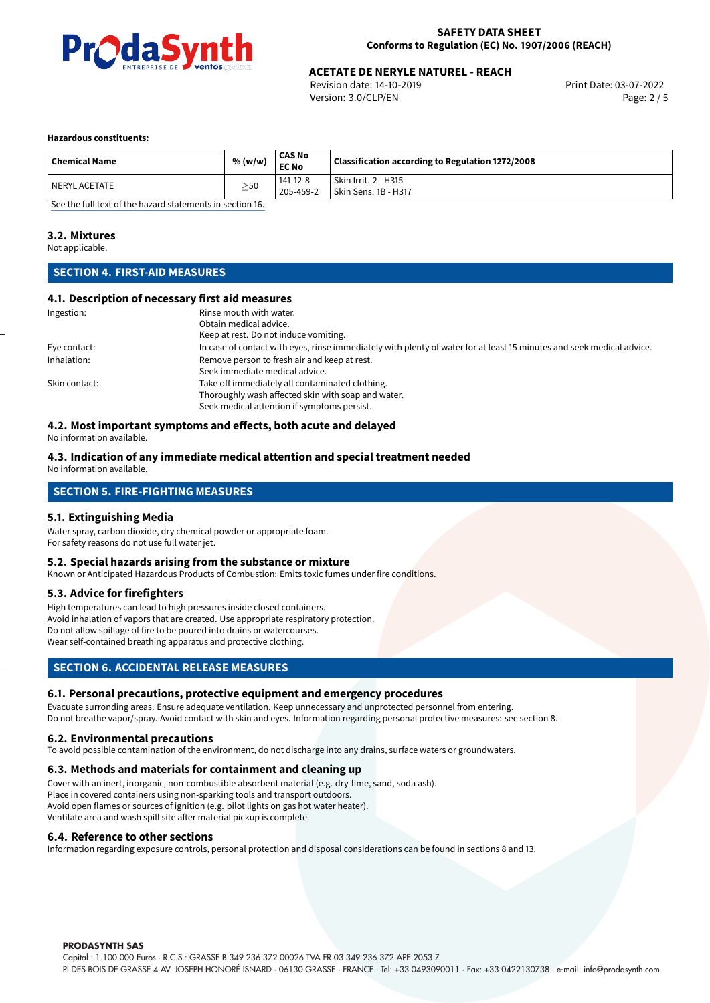

# **ACETATE DE NERYLE NATUREL - REACH<br>
Revision date: 14-10-2019** Print Date: 03-07-2022

Revision date: 14-10-2019 Version: 3.0/CLP/EN Page: 2 / 5

#### **Hazardous constituents:**

| <b>Chemical Name</b> | % (w/w)   | CAS No<br><b>EC No</b> | Classification according to Regulation 1272/2008 |
|----------------------|-----------|------------------------|--------------------------------------------------|
| l NERYL ACETATE      | $\geq$ 50 | 141-12-8<br>205-459-2  | Skin Irrit. 2 - H315<br>Skin Sens. 1B - H317     |

[See the full text of the hazard statements in section 16.](#page-4-0)

#### **3.2. Mixtures**

Not applicable.

## **SECTION 4. FIRST-AID MEASURES**

#### **4.1. Description of necessary first aid measures**

| Ingestion:    | Rinse mouth with water.                                                                                               |
|---------------|-----------------------------------------------------------------------------------------------------------------------|
|               | Obtain medical advice.                                                                                                |
|               | Keep at rest. Do not induce vomiting.                                                                                 |
| Eye contact:  | In case of contact with eyes, rinse immediately with plenty of water for at least 15 minutes and seek medical advice. |
| Inhalation:   | Remove person to fresh air and keep at rest.                                                                          |
|               | Seek immediate medical advice.                                                                                        |
| Skin contact: | Take off immediately all contaminated clothing.                                                                       |
|               | Thoroughly wash affected skin with soap and water.                                                                    |
|               | Seek medical attention if symptoms persist.                                                                           |

#### **4.2. Most important symptoms and effects, both acute and delayed**

No information available.

#### **4.3. Indication of any immediate medical attention and special treatment needed** No information available.

## **SECTION 5. FIRE-FIGHTING MEASURES**

#### **5.1. Extinguishing Media**

Water spray, carbon dioxide, dry chemical powder or appropriate foam. For safety reasons do not use full water jet.

#### **5.2. Special hazards arising from the substance or mixture**

Known or Anticipated Hazardous Products of Combustion: Emits toxic fumes under fire conditions.

#### **5.3. Advice for firefighters**

High temperatures can lead to high pressures inside closed containers. Avoid inhalation of vapors that are created. Use appropriate respiratory protection. Do not allow spillage of fire to be poured into drains or watercourses. Wear self-contained breathing apparatus and protective clothing.

#### **SECTION 6. ACCIDENTAL RELEASE MEASURES**

#### **6.1. Personal precautions, protective equipment and emergency procedures**

Evacuate surronding areas. Ensure adequate ventilation. Keep unnecessary and unprotected personnel from entering. Do not breathe vapor/spray. Avoid contact with skin and eyes. Information regarding personal protective measures: see section 8.

#### **6.2. Environmental precautions**

To avoid possible contamination of the environment, do not discharge into any drains, surface waters or groundwaters.

#### **6.3. Methods and materials for containment and cleaning up**

Cover with an inert, inorganic, non-combustible absorbent material (e.g. dry-lime, sand, soda ash). Place in covered containers using non-sparking tools and transport outdoors. Avoid open flames or sources of ignition (e.g. pilot lights on gas hot water heater). Ventilate area and wash spill site after material pickup is complete.

#### **6.4. Reference to other sections**

Information regarding exposure controls, personal protection and disposal considerations can be found in sections 8 and 13.

**PRODASYNTH SAS**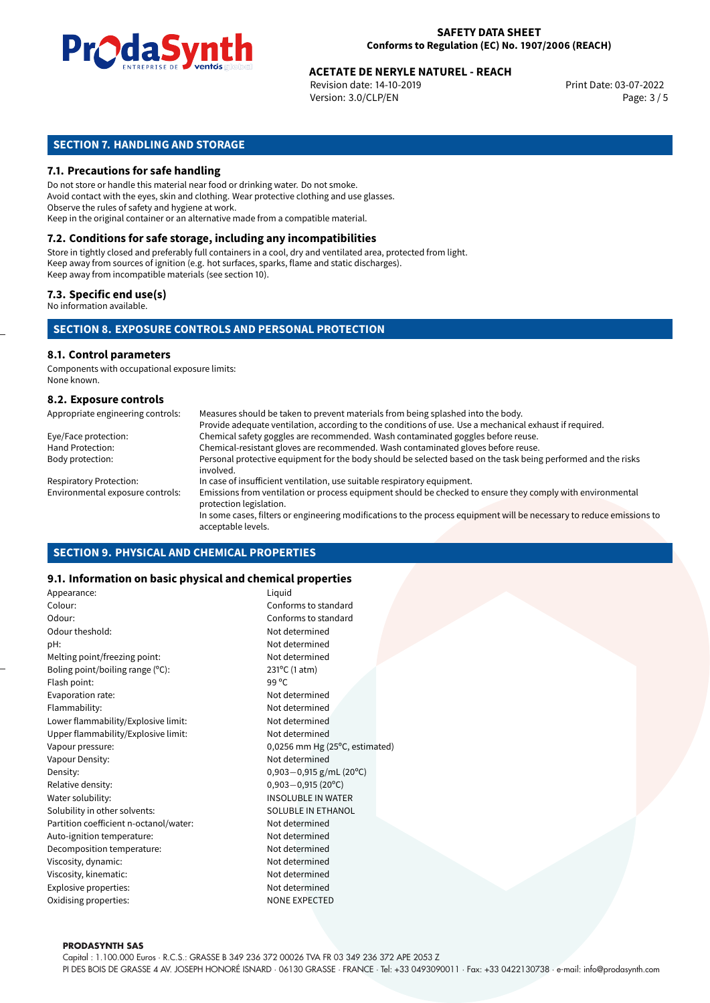

# **ACETATE DE NERYLE NATUREL - REACH<br>
Revision date: 14-10-2019** Print Date: 03-07-2022

Revision date: 14-10-2019 Version: 3.0/CLP/EN Page: 3 / 5

## **SECTION 7. HANDLING AND STORAGE**

#### **7.1. Precautions for safe handling**

Do not store or handle this material near food or drinking water. Do not smoke. Avoid contact with the eyes, skin and clothing. Wear protective clothing and use glasses. Observe the rules of safety and hygiene at work. Keep in the original container or an alternative made from a compatible material.

## **7.2. Conditions for safe storage, including any incompatibilities**

Store in tightly closed and preferably full containers in a cool, dry and ventilated area, protected from light. Keep away from sources of ignition (e.g. hot surfaces, sparks, flame and static discharges). Keep away from incompatible materials (see section 10).

#### **7.3. Specific end use(s)**

No information available.

#### **SECTION 8. EXPOSURE CONTROLS AND PERSONAL PROTECTION**

## **8.1. Control parameters**

Components with occupational exposure limits: None known.

#### **8.2. Exposure controls**

| Appropriate engineering controls: | Measures should be taken to prevent materials from being splashed into the body.                                                            |
|-----------------------------------|---------------------------------------------------------------------------------------------------------------------------------------------|
|                                   | Provide adequate ventilation, according to the conditions of use. Use a mechanical exhaust if required.                                     |
| Eye/Face protection:              | Chemical safety goggles are recommended. Wash contaminated goggles before reuse.                                                            |
| Hand Protection:                  | Chemical-resistant gloves are recommended. Wash contaminated gloves before reuse.                                                           |
| Body protection:                  | Personal protective equipment for the body should be selected based on the task being performed and the risks<br>involved.                  |
| <b>Respiratory Protection:</b>    | In case of insufficient ventilation, use suitable respiratory equipment.                                                                    |
| Environmental exposure controls:  | Emissions from ventilation or process equipment should be checked to ensure they comply with environmental<br>protection legislation.       |
|                                   | In some cases, filters or engineering modifications to the process equipment will be necessary to reduce emissions to<br>acceptable levels. |

#### **SECTION 9. PHYSICAL AND CHEMICAL PROPERTIES**

#### **9.1. Information on basic physical and chemical properties**

| Appearance:                            | Liquid                         |  |
|----------------------------------------|--------------------------------|--|
| Colour:                                | Conforms to standard           |  |
| Odour:                                 | Conforms to standard           |  |
| Odour theshold:                        | Not determined                 |  |
| pH:                                    | Not determined                 |  |
| Melting point/freezing point:          | Not determined                 |  |
| Boling point/boiling range $(°C)$ :    | 231°C (1 atm)                  |  |
| Flash point:                           | 99 °C                          |  |
| Evaporation rate:                      | Not determined                 |  |
| Flammability:                          | Not determined                 |  |
| Lower flammability/Explosive limit:    | Not determined                 |  |
| Upper flammability/Explosive limit:    | Not determined                 |  |
| Vapour pressure:                       | 0,0256 mm Hg (25°C, estimated) |  |
| Vapour Density:                        | Not determined                 |  |
| Density:                               | $0,903 - 0,915$ g/mL (20°C)    |  |
| Relative density:                      | $0,903 - 0,915(20^{\circ}C)$   |  |
| Water solubility:                      | <b>INSOLUBLE IN WATER</b>      |  |
| Solubility in other solvents:          | SOLUBLE IN ETHANOL             |  |
| Partition coefficient n-octanol/water: | Not determined                 |  |
| Auto-ignition temperature:             | Not determined                 |  |
| Decomposition temperature:             | Not determined                 |  |
| Viscosity, dynamic:                    | Not determined                 |  |
| Viscosity, kinematic:                  | Not determined                 |  |
| Explosive properties:                  | Not determined                 |  |
| Oxidising properties:                  | <b>NONE EXPECTED</b>           |  |
|                                        |                                |  |

#### **PRODASYNTH SAS**

Capital : 1.100.000 Euros · R.C.S.: GRASSE B 349 236 372 00026 TVA FR 03 349 236 372 APE 2053 Z PI DES BOIS DE GRASSE 4 AV. JOSEPH HONORÉ ISNARD · 06130 GRASSE · FRANCE · Tel: +33 0493090011 · Fax: +33 0422130738 · e-mail: info@prodasynth.com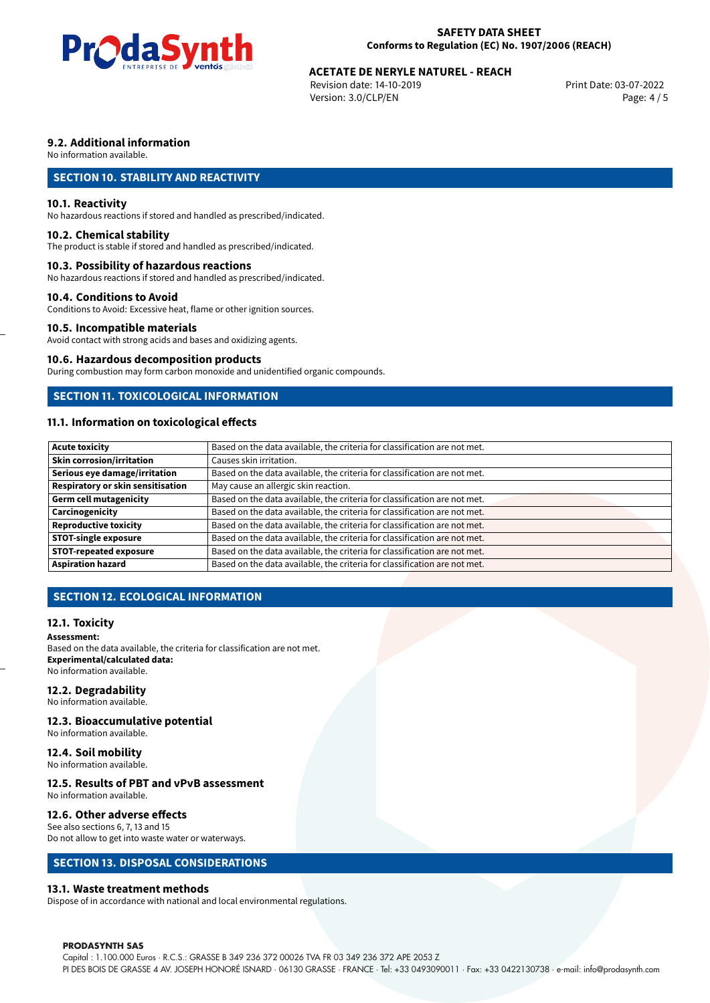

#### **SAFETY DATA SHEET Conforms to Regulation (EC) No. 1907/2006 (REACH)**

# **ACETATE DE NERYLE NATUREL - REACH<br>
Revision date: 14-10-2019** Print Date: 03-07-2022

Revision date: 14-10-2019 Version: 3.0/CLP/EN Page: 4 / 5

## **9.2. Additional information**

No information available.

## **SECTION 10. STABILITY AND REACTIVITY**

#### **10.1. Reactivity**

No hazardous reactions if stored and handled as prescribed/indicated.

#### **10.2. Chemical stability**

The product is stable if stored and handled as prescribed/indicated.

#### **10.3. Possibility of hazardous reactions**

No hazardous reactions if stored and handled as prescribed/indicated.

#### **10.4. Conditions to Avoid**

Conditions to Avoid: Excessive heat, flame or other ignition sources.

#### **10.5. Incompatible materials**

Avoid contact with strong acids and bases and oxidizing agents.

#### **10.6. Hazardous decomposition products**

During combustion may form carbon monoxide and unidentified organic compounds.

#### **SECTION 11. TOXICOLOGICAL INFORMATION**

## **11.1. Information on toxicological effects**

| <b>Acute toxicity</b>             | Based on the data available, the criteria for classification are not met. |
|-----------------------------------|---------------------------------------------------------------------------|
| <b>Skin corrosion/irritation</b>  | Causes skin irritation.                                                   |
|                                   |                                                                           |
| Serious eye damage/irritation     | Based on the data available, the criteria for classification are not met. |
| Respiratory or skin sensitisation | May cause an allergic skin reaction.                                      |
| Germ cell mutagenicity            | Based on the data available, the criteria for classification are not met. |
| <b>Carcinogenicity</b>            | Based on the data available, the criteria for classification are not met. |
| Reproductive toxicity             | Based on the data available, the criteria for classification are not met. |
| <b>STOT-single exposure</b>       | Based on the data available, the criteria for classification are not met. |
| <b>STOT-repeated exposure</b>     | Based on the data available, the criteria for classification are not met. |
| <b>Aspiration hazard</b>          | Based on the data available, the criteria for classification are not met. |

## **SECTION 12. ECOLOGICAL INFORMATION**

#### **12.1. Toxicity**

#### **Assessment:**

Based on the data available, the criteria for classification are not met. **Experimental/calculated data:** No information available.

#### **12.2. Degradability**

No information available.

#### **12.3. Bioaccumulative potential**

No information available.

#### **12.4. Soil mobility**

No information available.

## **12.5. Results of PBT and vPvB assessment**

No information available.

#### **12.6. Other adverse effects**

See also sections 6, 7, 13 and 15

## Do not allow to get into waste water or waterways.

## **SECTION 13. DISPOSAL CONSIDERATIONS**

#### **13.1. Waste treatment methods**

Dispose of in accordance with national and local environmental regulations.

#### **PRODASYNTH SAS**

Capital : 1.100.000 Euros · R.C.S.: GRASSE B 349 236 372 00026 TVA FR 03 349 236 372 APE 2053 Z PI DES BOIS DE GRASSE 4 AV. JOSEPH HONORÉ ISNARD · 06130 GRASSE · FRANCE · Tel: +33 0493090011 · Fax: +33 0422130738 · e-mail: info@prodasynth.com